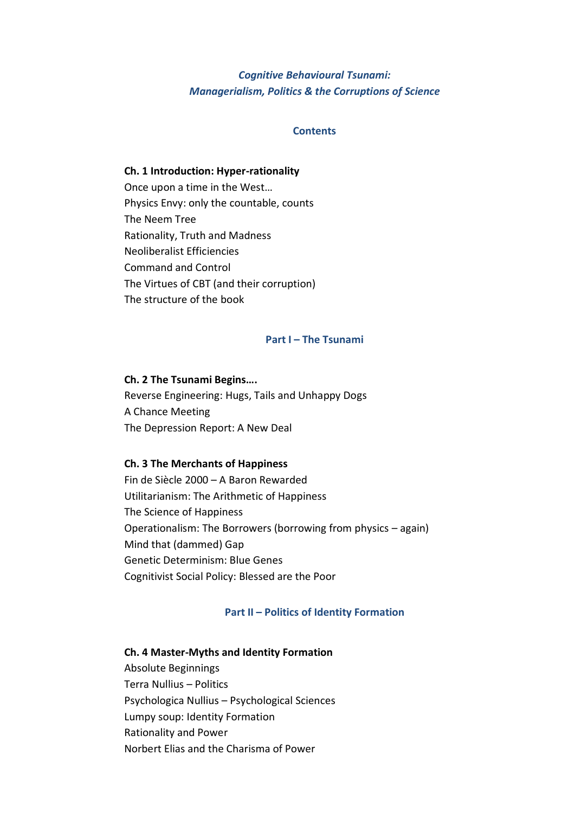# *Cognitive Behavioural Tsunami: Managerialism, Politics & the Corruptions of Science*

#### **Contents**

# **Ch. 1 Introduction: Hyper-rationality**

Once upon a time in the West… Physics Envy: only the countable, counts The Neem Tree Rationality, Truth and Madness Neoliberalist Efficiencies Command and Control The Virtues of CBT (and their corruption) The structure of the book

#### **Part I – The Tsunami**

#### **Ch. 2 The Tsunami Begins….**

Reverse Engineering: Hugs, Tails and Unhappy Dogs A Chance Meeting The Depression Report: A New Deal

#### **Ch. 3 The Merchants of Happiness**

Fin de Siècle 2000 – A Baron Rewarded Utilitarianism: The Arithmetic of Happiness The Science of Happiness Operationalism: The Borrowers (borrowing from physics – again) Mind that (dammed) Gap Genetic Determinism: Blue Genes Cognitivist Social Policy: Blessed are the Poor

### **Part II – Politics of Identity Formation**

#### **Ch. 4 Master-Myths and Identity Formation**

Absolute Beginnings Terra Nullius – Politics Psychologica Nullius – Psychological Sciences Lumpy soup: Identity Formation Rationality and Power Norbert Elias and the Charisma of Power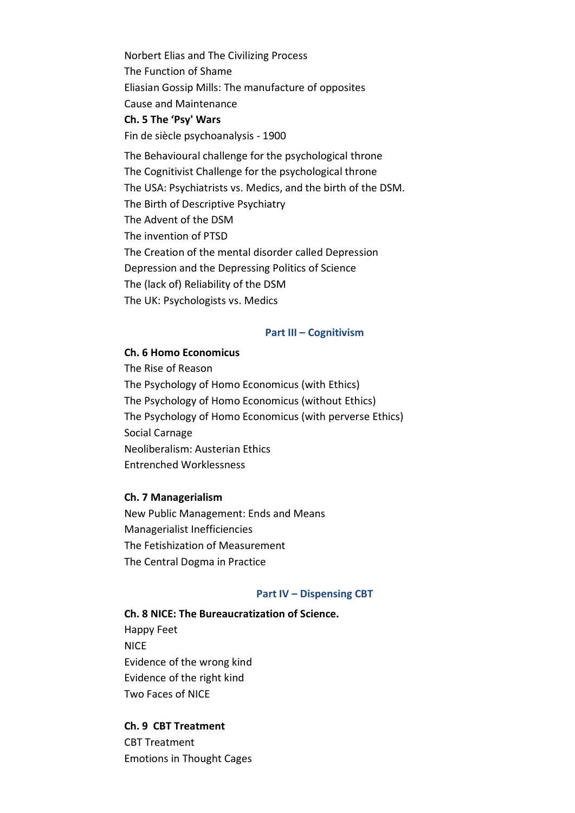Norbert Elias and The Civilizing Process The Function of Shame Eliasian Gossip Mills: The manufacture of opposites Cause and Maintenance

**Ch. 5 The 'Psy' Wars**

Fin de siècle psychoanalysis - 1900

The Behavioural challenge for the psychological throne The Cognitivist Challenge for the psychological throne The USA: Psychiatrists vs. Medics, and the birth of the DSM. The Birth of Descriptive Psychiatry The Advent of the DSM The invention of PTSD The Creation of the mental disorder called Depression Depression and the Depressing Politics of Science The (lack of) Reliability of the DSM The UK: Psychologists vs. Medics

# **Part III – Cognitivism**

#### **Ch. 6 Homo Economicus**

The Rise of Reason The Psychology of Homo Economicus (with Ethics) The Psychology of Homo Economicus (without Ethics) The Psychology of Homo Economicus (with perverse Ethics) Social Carnage Neoliberalism: Austerian Ethics Entrenched Worklessness

#### **Ch. 7 Managerialism**

New Public Management: Ends and Means Managerialist Inefficiencies The Fetishization of Measurement The Central Dogma in Practice

#### **Part IV – Dispensing CBT**

**Ch. 8 NICE: The Bureaucratization of Science.** 

Happy Feet NICE Evidence of the wrong kind Evidence of the right kind Two Faces of NICE

# **Ch. 9 CBT Treatment**

CBT Treatment Emotions in Thought Cages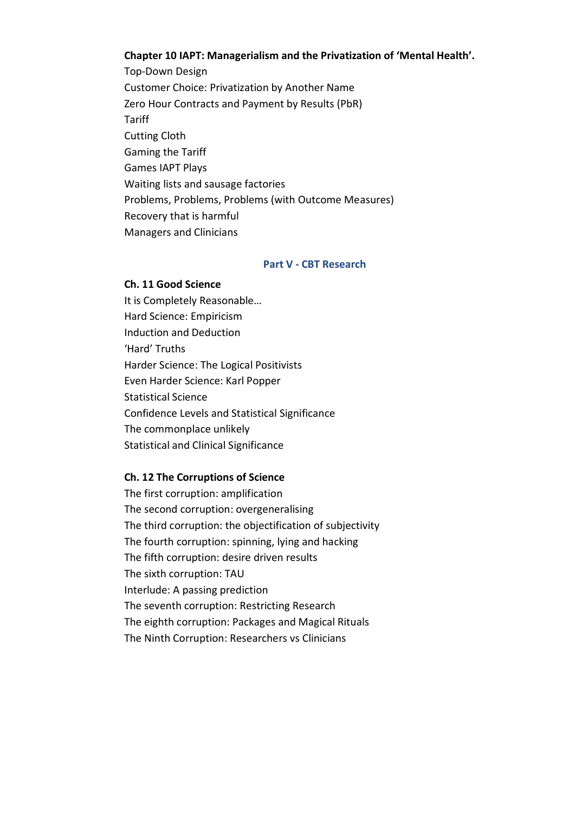# **Chapter 10 IAPT: Managerialism and the Privatization of 'Mental Health'.**

Top-Down Design Customer Choice: Privatization by Another Name Zero Hour Contracts and Payment by Results (PbR) **Tariff** Cutting Cloth Gaming the Tariff Games IAPT Plays Waiting lists and sausage factories Problems, Problems, Problems (with Outcome Measures) Recovery that is harmful Managers and Clinicians

#### **Part V - CBT Research**

#### **Ch. 11 Good Science**

It is Completely Reasonable… Hard Science: Empiricism Induction and Deduction 'Hard' Truths Harder Science: The Logical Positivists Even Harder Science: Karl Popper Statistical Science Confidence Levels and Statistical Significance The commonplace unlikely Statistical and Clinical Significance

### **Ch. 12 The Corruptions of Science**

The first corruption: amplification The second corruption: overgeneralising The third corruption: the objectification of subjectivity The fourth corruption: spinning, lying and hacking The fifth corruption: desire driven results The sixth corruption: TAU Interlude: A passing prediction The seventh corruption: Restricting Research The eighth corruption: Packages and Magical Rituals The Ninth Corruption: Researchers vs Clinicians